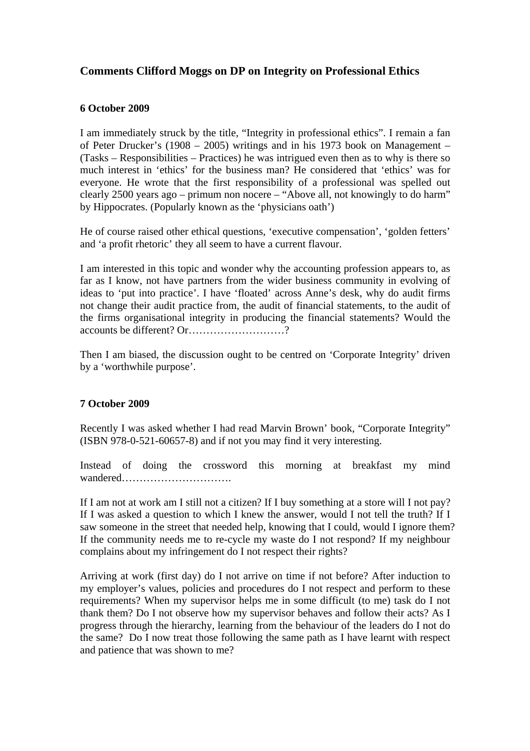# **Comments Clifford Moggs on DP on Integrity on Professional Ethics**

## **6 October 2009**

I am immediately struck by the title, "Integrity in professional ethics". I remain a fan of Peter Drucker's (1908 – 2005) writings and in his 1973 book on Management – (Tasks – Responsibilities – Practices) he was intrigued even then as to why is there so much interest in 'ethics' for the business man? He considered that 'ethics' was for everyone. He wrote that the first responsibility of a professional was spelled out clearly 2500 years ago – primum non nocere – "Above all, not knowingly to do harm" by Hippocrates. (Popularly known as the 'physicians oath')

He of course raised other ethical questions, 'executive compensation', 'golden fetters' and 'a profit rhetoric' they all seem to have a current flavour.

I am interested in this topic and wonder why the accounting profession appears to, as far as I know, not have partners from the wider business community in evolving of ideas to 'put into practice'. I have 'floated' across Anne's desk, why do audit firms not change their audit practice from, the audit of financial statements, to the audit of the firms organisational integrity in producing the financial statements? Would the accounts be different? Or………………………?

Then I am biased, the discussion ought to be centred on 'Corporate Integrity' driven by a 'worthwhile purpose'.

# **7 October 2009**

Recently I was asked whether I had read Marvin Brown' book, "Corporate Integrity" (ISBN 978-0-521-60657-8) and if not you may find it very interesting.

Instead of doing the crossword this morning at breakfast my mind wandered………………………….

If I am not at work am I still not a citizen? If I buy something at a store will I not pay? If I was asked a question to which I knew the answer, would I not tell the truth? If I saw someone in the street that needed help, knowing that I could, would I ignore them? If the community needs me to re-cycle my waste do I not respond? If my neighbour complains about my infringement do I not respect their rights?

Arriving at work (first day) do I not arrive on time if not before? After induction to my employer's values, policies and procedures do I not respect and perform to these requirements? When my supervisor helps me in some difficult (to me) task do I not thank them? Do I not observe how my supervisor behaves and follow their acts? As I progress through the hierarchy, learning from the behaviour of the leaders do I not do the same? Do I now treat those following the same path as I have learnt with respect and patience that was shown to me?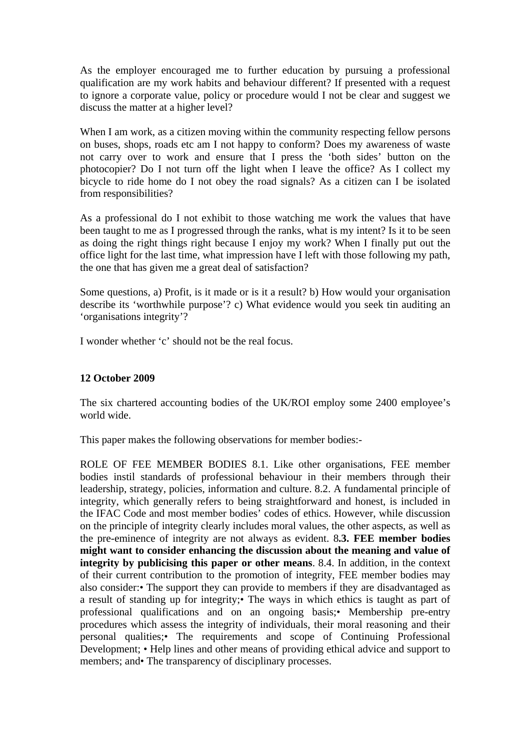As the employer encouraged me to further education by pursuing a professional qualification are my work habits and behaviour different? If presented with a request to ignore a corporate value, policy or procedure would I not be clear and suggest we discuss the matter at a higher level?

When I am work, as a citizen moving within the community respecting fellow persons on buses, shops, roads etc am I not happy to conform? Does my awareness of waste not carry over to work and ensure that I press the 'both sides' button on the photocopier? Do I not turn off the light when I leave the office? As I collect my bicycle to ride home do I not obey the road signals? As a citizen can I be isolated from responsibilities?

As a professional do I not exhibit to those watching me work the values that have been taught to me as I progressed through the ranks, what is my intent? Is it to be seen as doing the right things right because I enjoy my work? When I finally put out the office light for the last time, what impression have I left with those following my path, the one that has given me a great deal of satisfaction?

Some questions, a) Profit, is it made or is it a result? b) How would your organisation describe its 'worthwhile purpose'? c) What evidence would you seek tin auditing an 'organisations integrity'?

I wonder whether 'c' should not be the real focus.

#### **12 October 2009**

The six chartered accounting bodies of the UK/ROI employ some 2400 employee's world wide.

This paper makes the following observations for member bodies:-

ROLE OF FEE MEMBER BODIES 8.1. Like other organisations, FEE member bodies instil standards of professional behaviour in their members through their leadership, strategy, policies, information and culture. 8.2. A fundamental principle of integrity, which generally refers to being straightforward and honest, is included in the IFAC Code and most member bodies' codes of ethics. However, while discussion on the principle of integrity clearly includes moral values, the other aspects, as well as the pre-eminence of integrity are not always as evident. 8**.3. FEE member bodies might want to consider enhancing the discussion about the meaning and value of integrity by publicising this paper or other means**. 8.4. In addition, in the context of their current contribution to the promotion of integrity, FEE member bodies may also consider:• The support they can provide to members if they are disadvantaged as a result of standing up for integrity;• The ways in which ethics is taught as part of professional qualifications and on an ongoing basis;• Membership pre-entry procedures which assess the integrity of individuals, their moral reasoning and their personal qualities;• The requirements and scope of Continuing Professional Development; • Help lines and other means of providing ethical advice and support to members; and• The transparency of disciplinary processes.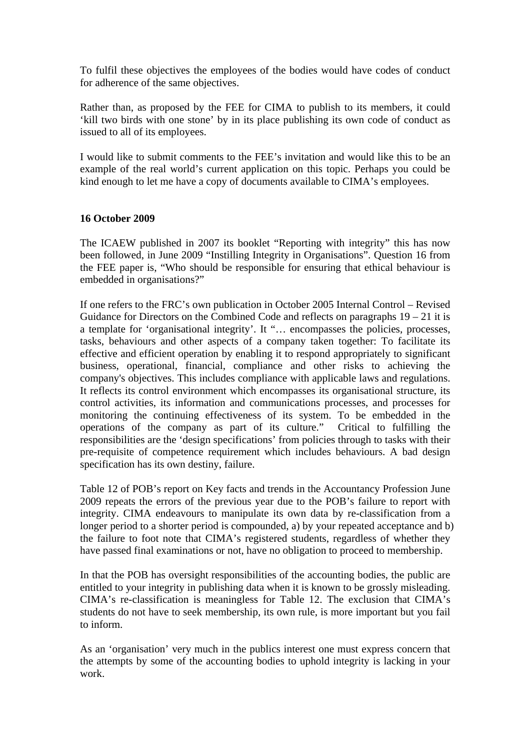To fulfil these objectives the employees of the bodies would have codes of conduct for adherence of the same objectives.

Rather than, as proposed by the FEE for CIMA to publish to its members, it could 'kill two birds with one stone' by in its place publishing its own code of conduct as issued to all of its employees.

I would like to submit comments to the FEE's invitation and would like this to be an example of the real world's current application on this topic. Perhaps you could be kind enough to let me have a copy of documents available to CIMA's employees.

#### **16 October 2009**

The ICAEW published in 2007 its booklet "Reporting with integrity" this has now been followed, in June 2009 "Instilling Integrity in Organisations". Question 16 from the FEE paper is, "Who should be responsible for ensuring that ethical behaviour is embedded in organisations?"

If one refers to the FRC's own publication in October 2005 Internal Control – Revised Guidance for Directors on the Combined Code and reflects on paragraphs  $19 - 21$  it is a template for 'organisational integrity'. It "… encompasses the policies, processes, tasks, behaviours and other aspects of a company taken together: To facilitate its effective and efficient operation by enabling it to respond appropriately to significant business, operational, financial, compliance and other risks to achieving the company's objectives. This includes compliance with applicable laws and regulations. It reflects its control environment which encompasses its organisational structure, its control activities, its information and communications processes, and processes for monitoring the continuing effectiveness of its system. To be embedded in the operations of the company as part of its culture." Critical to fulfilling the responsibilities are the 'design specifications' from policies through to tasks with their pre-requisite of competence requirement which includes behaviours. A bad design specification has its own destiny, failure.

Table 12 of POB's report on Key facts and trends in the Accountancy Profession June 2009 repeats the errors of the previous year due to the POB's failure to report with integrity. CIMA endeavours to manipulate its own data by re-classification from a longer period to a shorter period is compounded, a) by your repeated acceptance and b) the failure to foot note that CIMA's registered students, regardless of whether they have passed final examinations or not, have no obligation to proceed to membership.

In that the POB has oversight responsibilities of the accounting bodies, the public are entitled to your integrity in publishing data when it is known to be grossly misleading. CIMA's re-classification is meaningless for Table 12. The exclusion that CIMA's students do not have to seek membership, its own rule, is more important but you fail to inform.

As an 'organisation' very much in the publics interest one must express concern that the attempts by some of the accounting bodies to uphold integrity is lacking in your work.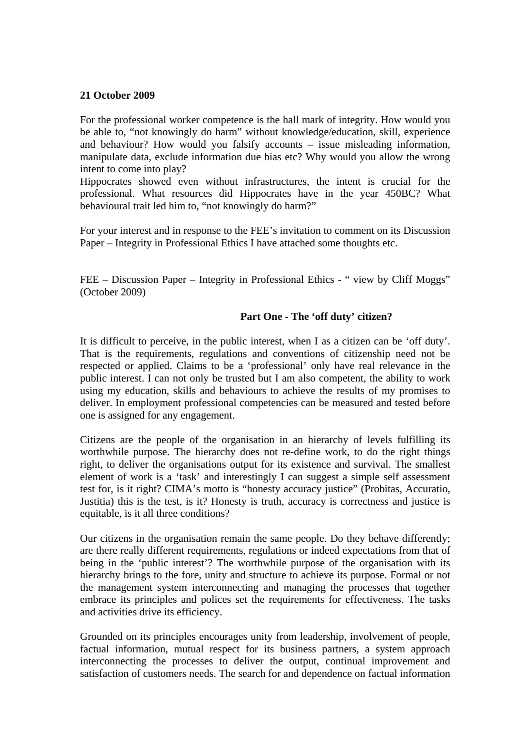#### **21 October 2009**

For the professional worker competence is the hall mark of integrity. How would you be able to, "not knowingly do harm" without knowledge/education, skill, experience and behaviour? How would you falsify accounts – issue misleading information, manipulate data, exclude information due bias etc? Why would you allow the wrong intent to come into play?

Hippocrates showed even without infrastructures, the intent is crucial for the professional. What resources did Hippocrates have in the year 450BC? What behavioural trait led him to, "not knowingly do harm?"

For your interest and in response to the FEE's invitation to comment on its Discussion Paper – Integrity in Professional Ethics I have attached some thoughts etc.

FEE – Discussion Paper – Integrity in Professional Ethics - " view by Cliff Moggs" (October 2009)

#### **Part One - The 'off duty' citizen?**

It is difficult to perceive, in the public interest, when I as a citizen can be 'off duty'. That is the requirements, regulations and conventions of citizenship need not be respected or applied. Claims to be a 'professional' only have real relevance in the public interest. I can not only be trusted but I am also competent, the ability to work using my education, skills and behaviours to achieve the results of my promises to deliver. In employment professional competencies can be measured and tested before one is assigned for any engagement.

Citizens are the people of the organisation in an hierarchy of levels fulfilling its worthwhile purpose. The hierarchy does not re-define work, to do the right things right, to deliver the organisations output for its existence and survival. The smallest element of work is a 'task' and interestingly I can suggest a simple self assessment test for, is it right? CIMA's motto is "honesty accuracy justice" (Probitas, Accuratio, Justitia) this is the test, is it? Honesty is truth, accuracy is correctness and justice is equitable, is it all three conditions?

Our citizens in the organisation remain the same people. Do they behave differently; are there really different requirements, regulations or indeed expectations from that of being in the 'public interest'? The worthwhile purpose of the organisation with its hierarchy brings to the fore, unity and structure to achieve its purpose. Formal or not the management system interconnecting and managing the processes that together embrace its principles and polices set the requirements for effectiveness. The tasks and activities drive its efficiency.

Grounded on its principles encourages unity from leadership, involvement of people, factual information, mutual respect for its business partners, a system approach interconnecting the processes to deliver the output, continual improvement and satisfaction of customers needs. The search for and dependence on factual information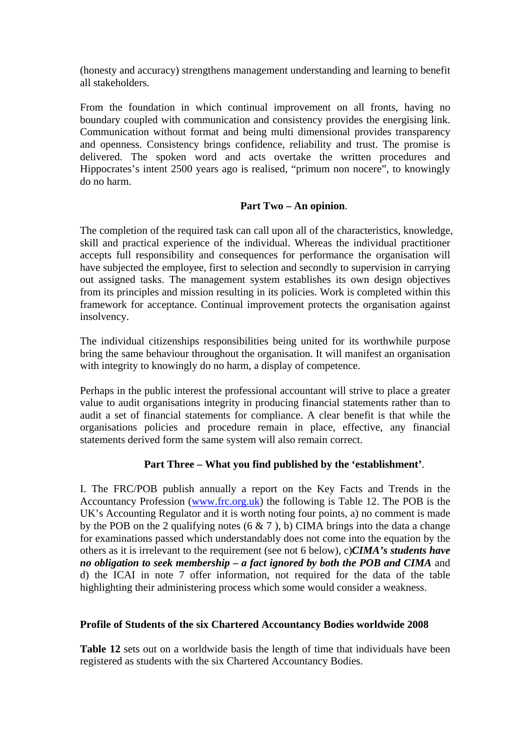(honesty and accuracy) strengthens management understanding and learning to benefit all stakeholders.

From the foundation in which continual improvement on all fronts, having no boundary coupled with communication and consistency provides the energising link. Communication without format and being multi dimensional provides transparency and openness. Consistency brings confidence, reliability and trust. The promise is delivered. The spoken word and acts overtake the written procedures and Hippocrates's intent 2500 years ago is realised, "primum non nocere", to knowingly do no harm.

### **Part Two – An opinion**.

The completion of the required task can call upon all of the characteristics, knowledge, skill and practical experience of the individual. Whereas the individual practitioner accepts full responsibility and consequences for performance the organisation will have subjected the employee, first to selection and secondly to supervision in carrying out assigned tasks. The management system establishes its own design objectives from its principles and mission resulting in its policies. Work is completed within this framework for acceptance. Continual improvement protects the organisation against insolvency.

The individual citizenships responsibilities being united for its worthwhile purpose bring the same behaviour throughout the organisation. It will manifest an organisation with integrity to knowingly do no harm, a display of competence.

Perhaps in the public interest the professional accountant will strive to place a greater value to audit organisations integrity in producing financial statements rather than to audit a set of financial statements for compliance. A clear benefit is that while the organisations policies and procedure remain in place, effective, any financial statements derived form the same system will also remain correct.

# **Part Three – What you find published by the 'establishment'**.

I. The FRC/POB publish annually a report on the Key Facts and Trends in the Accountancy Profession (www.frc.org.uk) the following is Table 12. The POB is the UK's Accounting Regulator and it is worth noting four points, a) no comment is made by the POB on the 2 qualifying notes  $(6 \& 7)$ , b) CIMA brings into the data a change for examinations passed which understandably does not come into the equation by the others as it is irrelevant to the requirement (see not 6 below), c)*CIMA's students have no obligation to seek membership – a fact ignored by both the POB and CIMA* and d) the ICAI in note 7 offer information, not required for the data of the table highlighting their administering process which some would consider a weakness.

#### **Profile of Students of the six Chartered Accountancy Bodies worldwide 2008**

Table 12 sets out on a worldwide basis the length of time that individuals have been registered as students with the six Chartered Accountancy Bodies.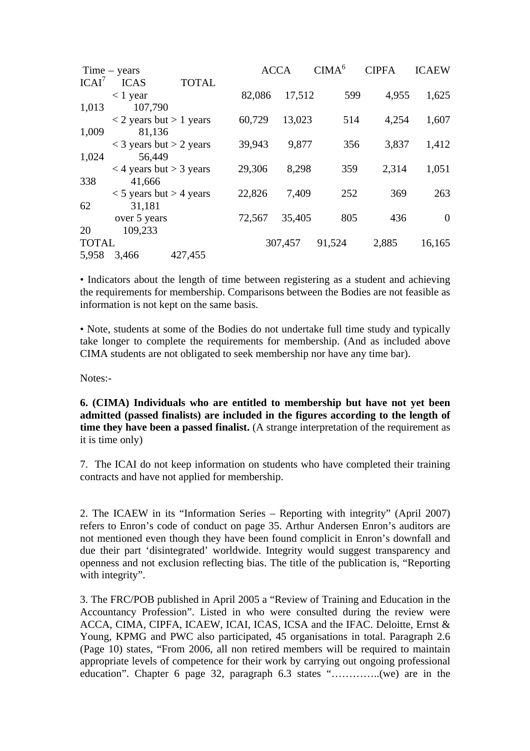| $Time - years$    |                           |                                           |        | <b>ACCA</b> |        | <b>CIPFA</b> | <b>ICAEW</b> |
|-------------------|---------------------------|-------------------------------------------|--------|-------------|--------|--------------|--------------|
| ICAI <sup>7</sup> | <b>ICAS</b>               | <b>TOTAL</b>                              |        |             |        |              |              |
|                   | $< 1$ year                |                                           | 82,086 | 17,512      | 599    | 4,955        | 1,625        |
| 1,013             | 107,790                   |                                           |        |             |        |              |              |
|                   |                           | $\langle 2 \rangle$ years but $> 1$ years | 60,729 | 13,023      | 514    | 4,254        | 1,607        |
| 1,009             | 81,136                    |                                           |        |             |        |              |              |
|                   |                           | $<$ 3 years but $>$ 2 years               | 39,943 | 9,877       | 356    | 3,837        | 1,412        |
| 1,024             | 56,449                    |                                           |        |             |        |              |              |
|                   |                           | $<$ 4 years but $>$ 3 years               | 29,306 | 8,298       | 359    | 2,314        | 1,051        |
| 338               | 41,666                    |                                           |        |             |        |              |              |
|                   | $<$ 5 years but > 4 years |                                           | 22,826 | 7,409       | 252    | 369          | 263          |
| 62                | 31,181                    |                                           |        |             |        |              |              |
|                   | over 5 years              |                                           | 72,567 | 35,405      | 805    | 436          | $\Omega$     |
| 20                | 109,233                   |                                           |        |             |        |              |              |
| <b>TOTAL</b>      |                           |                                           |        | 307,457     | 91,524 | 2,885        | 16,165       |
| 5,958             | 3,466                     | 427,455                                   |        |             |        |              |              |

• Indicators about the length of time between registering as a student and achieving the requirements for membership. Comparisons between the Bodies are not feasible as information is not kept on the same basis.

• Note, students at some of the Bodies do not undertake full time study and typically take longer to complete the requirements for membership. (And as included above CIMA students are not obligated to seek membership nor have any time bar).

Notes:-

**6. (CIMA) Individuals who are entitled to membership but have not yet been admitted (passed finalists) are included in the figures according to the length of time they have been a passed finalist.** (A strange interpretation of the requirement as it is time only)

7. The ICAI do not keep information on students who have completed their training contracts and have not applied for membership.

2. The ICAEW in its "Information Series – Reporting with integrity" (April 2007) refers to Enron's code of conduct on page 35. Arthur Andersen Enron's auditors are not mentioned even though they have been found complicit in Enron's downfall and due their part 'disintegrated' worldwide. Integrity would suggest transparency and openness and not exclusion reflecting bias. The title of the publication is, "Reporting with integrity".

3. The FRC/POB published in April 2005 a "Review of Training and Education in the Accountancy Profession". Listed in who were consulted during the review were ACCA, CIMA, CIPFA, ICAEW, ICAI, ICAS, ICSA and the IFAC. Deloitte, Ernst & Young, KPMG and PWC also participated, 45 organisations in total. Paragraph 2.6 (Page 10) states, "From 2006, all non retired members will be required to maintain appropriate levels of competence for their work by carrying out ongoing professional education". Chapter 6 page 32, paragraph 6.3 states "…………..(we) are in the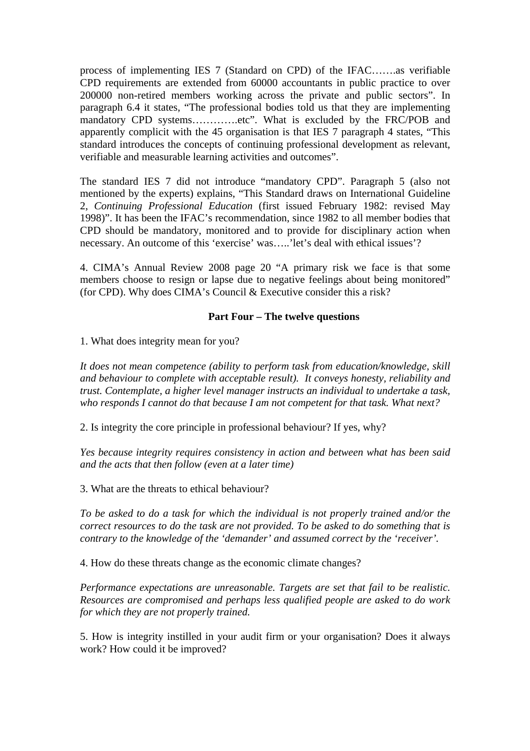process of implementing IES 7 (Standard on CPD) of the IFAC…….as verifiable CPD requirements are extended from 60000 accountants in public practice to over 200000 non-retired members working across the private and public sectors". In paragraph 6.4 it states, "The professional bodies told us that they are implementing mandatory CPD systems............etc". What is excluded by the FRC/POB and apparently complicit with the 45 organisation is that IES 7 paragraph 4 states, "This standard introduces the concepts of continuing professional development as relevant, verifiable and measurable learning activities and outcomes".

The standard IES 7 did not introduce "mandatory CPD". Paragraph 5 (also not mentioned by the experts) explains, "This Standard draws on International Guideline 2, *Continuing Professional Education* (first issued February 1982: revised May 1998)". It has been the IFAC's recommendation, since 1982 to all member bodies that CPD should be mandatory, monitored and to provide for disciplinary action when necessary. An outcome of this 'exercise' was…..'let's deal with ethical issues'?

4. CIMA's Annual Review 2008 page 20 "A primary risk we face is that some members choose to resign or lapse due to negative feelings about being monitored" (for CPD). Why does CIMA's Council & Executive consider this a risk?

## **Part Four – The twelve questions**

1. What does integrity mean for you?

*It does not mean competence (ability to perform task from education/knowledge, skill and behaviour to complete with acceptable result). It conveys honesty, reliability and trust. Contemplate, a higher level manager instructs an individual to undertake a task, who responds I cannot do that because I am not competent for that task. What next?* 

2. Is integrity the core principle in professional behaviour? If yes, why?

*Yes because integrity requires consistency in action and between what has been said and the acts that then follow (even at a later time)* 

3. What are the threats to ethical behaviour?

*To be asked to do a task for which the individual is not properly trained and/or the correct resources to do the task are not provided. To be asked to do something that is contrary to the knowledge of the 'demander' and assumed correct by the 'receiver'.* 

4. How do these threats change as the economic climate changes?

*Performance expectations are unreasonable. Targets are set that fail to be realistic. Resources are compromised and perhaps less qualified people are asked to do work for which they are not properly trained.* 

5. How is integrity instilled in your audit firm or your organisation? Does it always work? How could it be improved?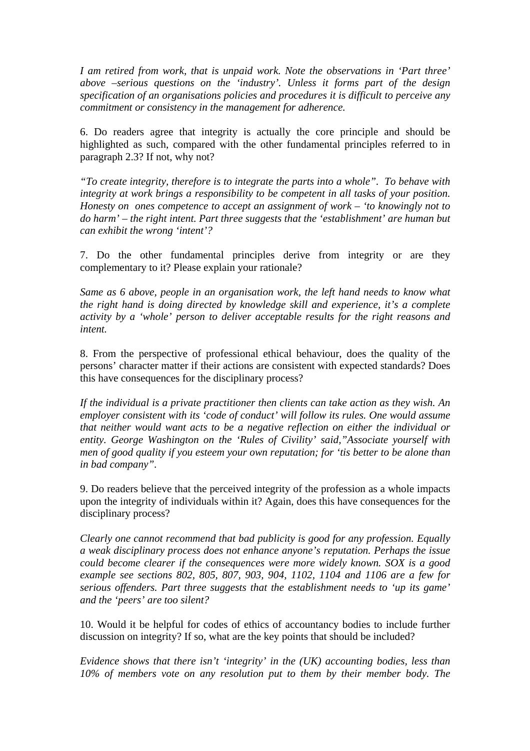*I am retired from work, that is unpaid work. Note the observations in 'Part three' above –serious questions on the 'industry'. Unless it forms part of the design specification of an organisations policies and procedures it is difficult to perceive any commitment or consistency in the management for adherence.* 

6. Do readers agree that integrity is actually the core principle and should be highlighted as such, compared with the other fundamental principles referred to in paragraph 2.3? If not, why not?

*"To create integrity, therefore is to integrate the parts into a whole". To behave with integrity at work brings a responsibility to be competent in all tasks of your position. Honesty on ones competence to accept an assignment of work – 'to knowingly not to do harm' – the right intent. Part three suggests that the 'establishment' are human but can exhibit the wrong 'intent'?* 

7. Do the other fundamental principles derive from integrity or are they complementary to it? Please explain your rationale?

*Same as 6 above, people in an organisation work, the left hand needs to know what the right hand is doing directed by knowledge skill and experience, it's a complete activity by a 'whole' person to deliver acceptable results for the right reasons and intent.* 

8. From the perspective of professional ethical behaviour, does the quality of the persons' character matter if their actions are consistent with expected standards? Does this have consequences for the disciplinary process?

*If the individual is a private practitioner then clients can take action as they wish. An employer consistent with its 'code of conduct' will follow its rules. One would assume that neither would want acts to be a negative reflection on either the individual or entity. George Washington on the 'Rules of Civility' said,"Associate yourself with men of good quality if you esteem your own reputation; for 'tis better to be alone than in bad company".* 

9. Do readers believe that the perceived integrity of the profession as a whole impacts upon the integrity of individuals within it? Again, does this have consequences for the disciplinary process?

*Clearly one cannot recommend that bad publicity is good for any profession. Equally a weak disciplinary process does not enhance anyone's reputation. Perhaps the issue could become clearer if the consequences were more widely known. SOX is a good example see sections 802, 805, 807, 903, 904, 1102, 1104 and 1106 are a few for serious offenders. Part three suggests that the establishment needs to 'up its game' and the 'peers' are too silent?* 

10. Would it be helpful for codes of ethics of accountancy bodies to include further discussion on integrity? If so, what are the key points that should be included?

*Evidence shows that there isn't 'integrity' in the (UK) accounting bodies, less than 10% of members vote on any resolution put to them by their member body. The*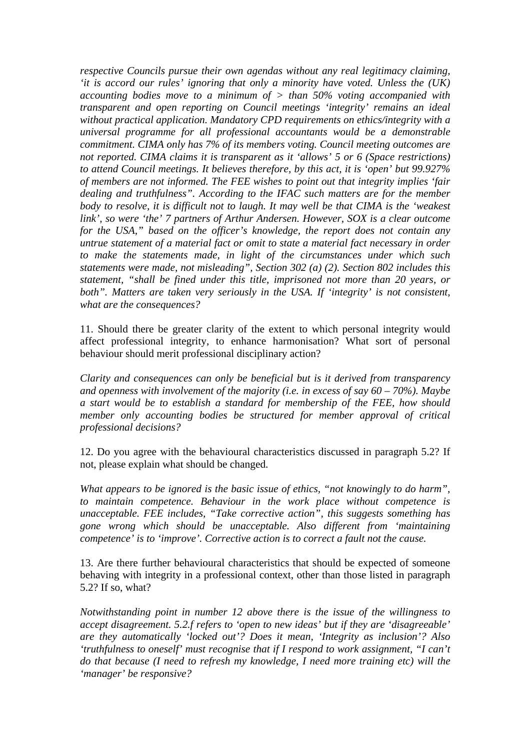*respective Councils pursue their own agendas without any real legitimacy claiming, 'it is accord our rules' ignoring that only a minority have voted. Unless the (UK) accounting bodies move to a minimum of > than 50% voting accompanied with transparent and open reporting on Council meetings 'integrity' remains an ideal without practical application. Mandatory CPD requirements on ethics/integrity with a universal programme for all professional accountants would be a demonstrable commitment. CIMA only has 7% of its members voting. Council meeting outcomes are not reported. CIMA claims it is transparent as it 'allows' 5 or 6 (Space restrictions) to attend Council meetings. It believes therefore, by this act, it is 'open' but 99.927% of members are not informed. The FEE wishes to point out that integrity implies 'fair dealing and truthfulness". According to the IFAC such matters are for the member body to resolve, it is difficult not to laugh. It may well be that CIMA is the 'weakest link', so were 'the' 7 partners of Arthur Andersen. However, SOX is a clear outcome for the USA," based on the officer's knowledge, the report does not contain any untrue statement of a material fact or omit to state a material fact necessary in order to make the statements made, in light of the circumstances under which such statements were made, not misleading", Section 302 (a) (2). Section 802 includes this statement, "shall be fined under this title, imprisoned not more than 20 years, or*  both". Matters are taken very seriously in the USA. If 'integrity' is not consistent, *what are the consequences?* 

11. Should there be greater clarity of the extent to which personal integrity would affect professional integrity, to enhance harmonisation? What sort of personal behaviour should merit professional disciplinary action?

*Clarity and consequences can only be beneficial but is it derived from transparency and openness with involvement of the majority (i.e. in excess of say 60 – 70%). Maybe a start would be to establish a standard for membership of the FEE, how should member only accounting bodies be structured for member approval of critical professional decisions?* 

12. Do you agree with the behavioural characteristics discussed in paragraph 5.2? If not, please explain what should be changed.

*What appears to be ignored is the basic issue of ethics, "not knowingly to do harm", to maintain competence. Behaviour in the work place without competence is unacceptable. FEE includes, "Take corrective action", this suggests something has gone wrong which should be unacceptable. Also different from 'maintaining competence' is to 'improve'. Corrective action is to correct a fault not the cause.* 

13. Are there further behavioural characteristics that should be expected of someone behaving with integrity in a professional context, other than those listed in paragraph 5.2? If so, what?

*Notwithstanding point in number 12 above there is the issue of the willingness to accept disagreement. 5.2.f refers to 'open to new ideas' but if they are 'disagreeable' are they automatically 'locked out'? Does it mean, 'Integrity as inclusion'? Also 'truthfulness to oneself' must recognise that if I respond to work assignment, "I can't do that because (I need to refresh my knowledge, I need more training etc) will the 'manager' be responsive?*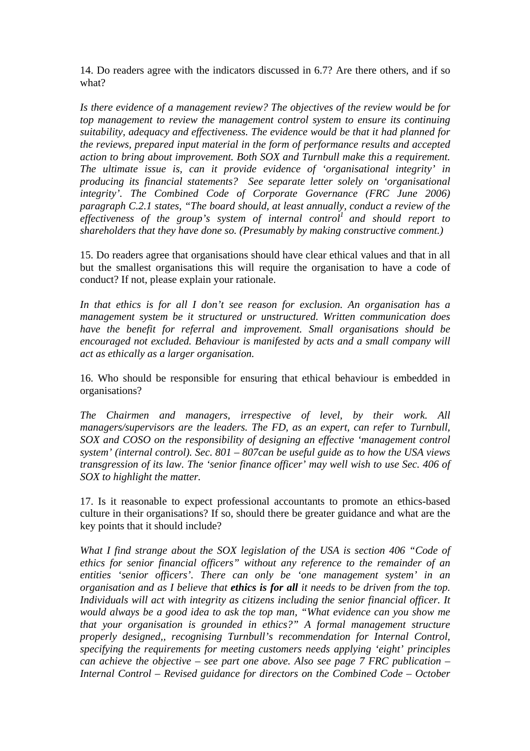14. Do readers agree with the indicators discussed in 6.7? Are there others, and if so what?

*Is there evidence of a management review? The objectives of the review would be for top management to review the management control system to ensure its continuing suitability, adequacy and effectiveness. The evidence would be that it had planned for the reviews, prepared input material in the form of performance results and accepted action to bring about improvement. Both SOX and Turnbull make this a requirement. The ultimate issue is, can it provide evidence of 'organisational integrity' in producing its financial statements? See separate letter solely on 'organisational integrity'. The Combined Code of Corporate Governance (FRC June 2006) paragraph C.2.1 states, "The board should, at least annually, conduct a review of the effectiveness of the group's system of internal control<sup>1</sup> and should report to shareholders that they have done so. (Presumably by making constructive comment.)* 

15. Do readers agree that organisations should have clear ethical values and that in all but the smallest organisations this will require the organisation to have a code of conduct? If not, please explain your rationale.

*In that ethics is for all I don't see reason for exclusion. An organisation has a management system be it structured or unstructured. Written communication does have the benefit for referral and improvement. Small organisations should be encouraged not excluded. Behaviour is manifested by acts and a small company will act as ethically as a larger organisation.* 

16. Who should be responsible for ensuring that ethical behaviour is embedded in organisations?

*The Chairmen and managers, irrespective of level, by their work. All managers/supervisors are the leaders. The FD, as an expert, can refer to Turnbull, SOX and COSO on the responsibility of designing an effective 'management control system' (internal control). Sec. 801 – 807can be useful guide as to how the USA views transgression of its law. The 'senior finance officer' may well wish to use Sec. 406 of SOX to highlight the matter.* 

17. Is it reasonable to expect professional accountants to promote an ethics-based culture in their organisations? If so, should there be greater guidance and what are the key points that it should include?

*What I find strange about the SOX legislation of the USA is section 406 "Code of ethics for senior financial officers" without any reference to the remainder of an entities 'senior officers'. There can only be 'one management system' in an organisation and as I believe that ethics is for all it needs to be driven from the top. Individuals will act with integrity as citizens including the senior financial officer. It would always be a good idea to ask the top man, "What evidence can you show me that your organisation is grounded in ethics?" A formal management structure properly designed,, recognising Turnbull's recommendation for Internal Control, specifying the requirements for meeting customers needs applying 'eight' principles can achieve the objective – see part one above. Also see page 7 FRC publication – Internal Control – Revised guidance for directors on the Combined Code – October*